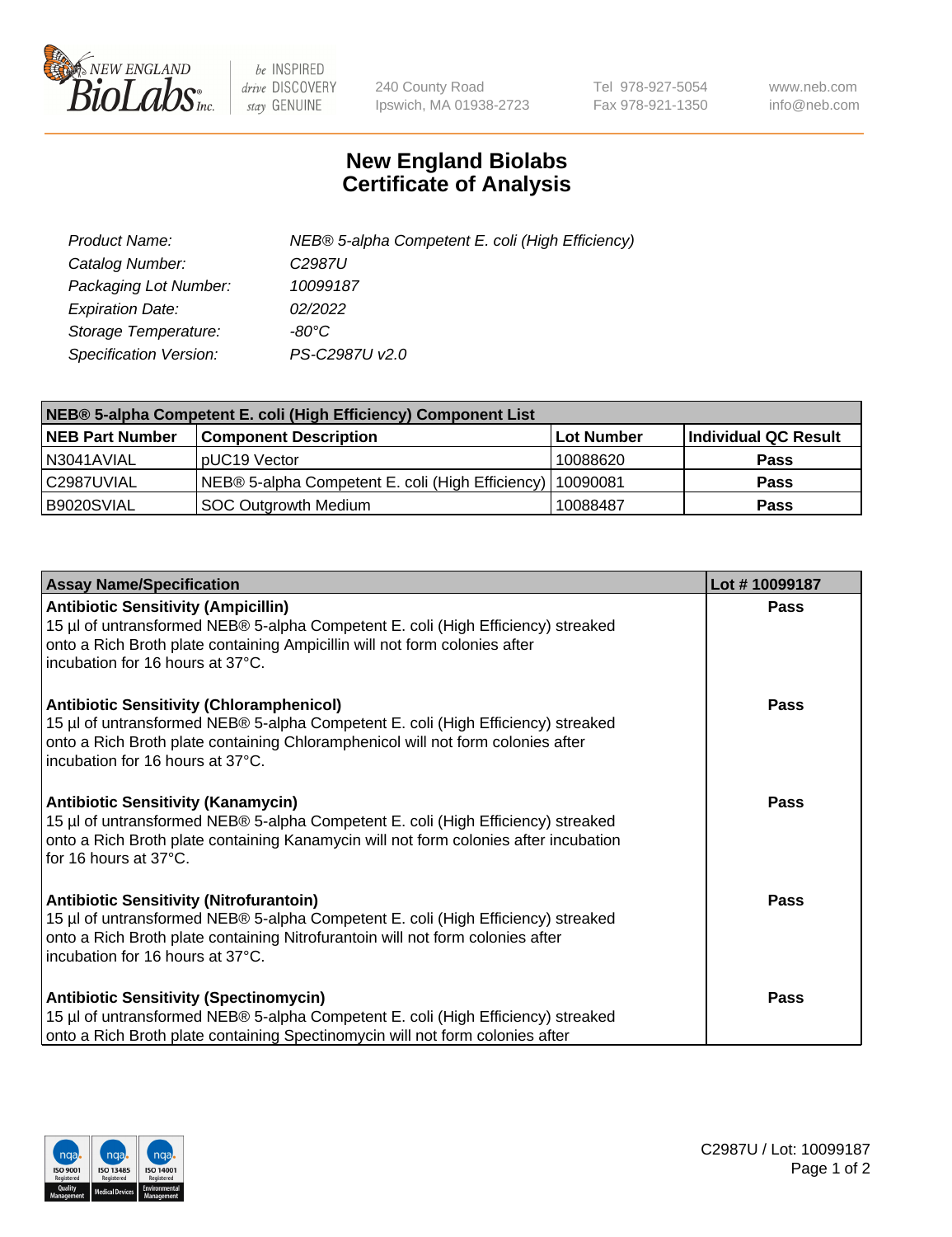

 $be$  INSPIRED drive DISCOVERY stay GENUINE

240 County Road Ipswich, MA 01938-2723 Tel 978-927-5054 Fax 978-921-1350 www.neb.com info@neb.com

## **New England Biolabs Certificate of Analysis**

| Product Name:                 | NEB® 5-alpha Competent E. coli (High Efficiency) |
|-------------------------------|--------------------------------------------------|
| Catalog Number:               | C <sub>2987</sub> U                              |
| Packaging Lot Number:         | 10099187                                         |
| <b>Expiration Date:</b>       | 02/2022                                          |
| Storage Temperature:          | -80°C                                            |
| <b>Specification Version:</b> | PS-C2987U v2.0                                   |

| NEB® 5-alpha Competent E. coli (High Efficiency) Component List |                                                  |            |                      |  |
|-----------------------------------------------------------------|--------------------------------------------------|------------|----------------------|--|
| <b>NEB Part Number</b>                                          | <b>Component Description</b>                     | Lot Number | Individual QC Result |  |
| N3041AVIAL                                                      | pUC19 Vector                                     | 10088620   | <b>Pass</b>          |  |
| C2987UVIAL                                                      | NEB® 5-alpha Competent E. coli (High Efficiency) | 10090081   | <b>Pass</b>          |  |
| B9020SVIAL                                                      | <b>SOC Outgrowth Medium</b>                      | 10088487   | <b>Pass</b>          |  |

| <b>Assay Name/Specification</b>                                                                                                                                                                                                                            | Lot #10099187 |
|------------------------------------------------------------------------------------------------------------------------------------------------------------------------------------------------------------------------------------------------------------|---------------|
| <b>Antibiotic Sensitivity (Ampicillin)</b><br>15 µl of untransformed NEB® 5-alpha Competent E. coli (High Efficiency) streaked<br>onto a Rich Broth plate containing Ampicillin will not form colonies after<br>incubation for 16 hours at 37°C.           | Pass          |
| <b>Antibiotic Sensitivity (Chloramphenicol)</b><br>15 µl of untransformed NEB® 5-alpha Competent E. coli (High Efficiency) streaked<br>onto a Rich Broth plate containing Chloramphenicol will not form colonies after<br>incubation for 16 hours at 37°C. | Pass          |
| <b>Antibiotic Sensitivity (Kanamycin)</b><br>15 µl of untransformed NEB® 5-alpha Competent E. coli (High Efficiency) streaked<br>onto a Rich Broth plate containing Kanamycin will not form colonies after incubation<br>for 16 hours at 37°C.             | Pass          |
| <b>Antibiotic Sensitivity (Nitrofurantoin)</b><br>15 µl of untransformed NEB® 5-alpha Competent E. coli (High Efficiency) streaked<br>onto a Rich Broth plate containing Nitrofurantoin will not form colonies after<br>incubation for 16 hours at 37°C.   | <b>Pass</b>   |
| <b>Antibiotic Sensitivity (Spectinomycin)</b><br>15 µl of untransformed NEB® 5-alpha Competent E. coli (High Efficiency) streaked<br>onto a Rich Broth plate containing Spectinomycin will not form colonies after                                         | Pass          |